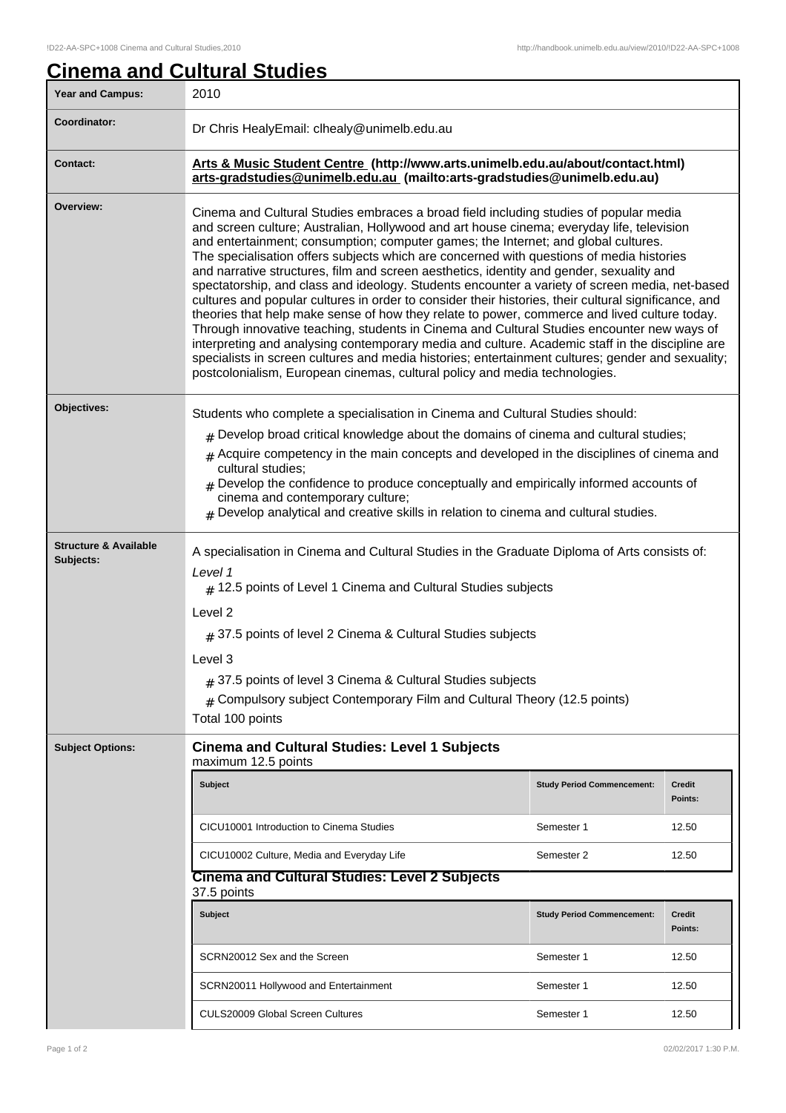## **Cinema and Cultural Studies**

| <b>Year and Campus:</b>                       | 2010                                                                                                                                                                                                                                                                                                                                                                                                                                                                                                                                                                                                                                                                                                                                                                                                                                                                                                                                                                                                                                                                                                                                                           |                                   |                          |  |
|-----------------------------------------------|----------------------------------------------------------------------------------------------------------------------------------------------------------------------------------------------------------------------------------------------------------------------------------------------------------------------------------------------------------------------------------------------------------------------------------------------------------------------------------------------------------------------------------------------------------------------------------------------------------------------------------------------------------------------------------------------------------------------------------------------------------------------------------------------------------------------------------------------------------------------------------------------------------------------------------------------------------------------------------------------------------------------------------------------------------------------------------------------------------------------------------------------------------------|-----------------------------------|--------------------------|--|
| Coordinator:                                  | Dr Chris HealyEmail: clhealy@unimelb.edu.au                                                                                                                                                                                                                                                                                                                                                                                                                                                                                                                                                                                                                                                                                                                                                                                                                                                                                                                                                                                                                                                                                                                    |                                   |                          |  |
| <b>Contact:</b>                               | Arts & Music Student Centre (http://www.arts.unimelb.edu.au/about/contact.html)<br>arts-gradstudies@unimelb.edu.au (mailto:arts-gradstudies@unimelb.edu.au)                                                                                                                                                                                                                                                                                                                                                                                                                                                                                                                                                                                                                                                                                                                                                                                                                                                                                                                                                                                                    |                                   |                          |  |
| Overview:                                     | Cinema and Cultural Studies embraces a broad field including studies of popular media<br>and screen culture; Australian, Hollywood and art house cinema; everyday life, television<br>and entertainment; consumption; computer games; the Internet; and global cultures.<br>The specialisation offers subjects which are concerned with questions of media histories<br>and narrative structures, film and screen aesthetics, identity and gender, sexuality and<br>spectatorship, and class and ideology. Students encounter a variety of screen media, net-based<br>cultures and popular cultures in order to consider their histories, their cultural significance, and<br>theories that help make sense of how they relate to power, commerce and lived culture today.<br>Through innovative teaching, students in Cinema and Cultural Studies encounter new ways of<br>interpreting and analysing contemporary media and culture. Academic staff in the discipline are<br>specialists in screen cultures and media histories; entertainment cultures; gender and sexuality;<br>postcolonialism, European cinemas, cultural policy and media technologies. |                                   |                          |  |
| Objectives:                                   | Students who complete a specialisation in Cinema and Cultural Studies should:<br>$_{\#}$ Develop broad critical knowledge about the domains of cinema and cultural studies;<br>$#$ Acquire competency in the main concepts and developed in the disciplines of cinema and<br>cultural studies:<br>$#$ Develop the confidence to produce conceptually and empirically informed accounts of<br>cinema and contemporary culture;<br>$*$ Develop analytical and creative skills in relation to cinema and cultural studies.                                                                                                                                                                                                                                                                                                                                                                                                                                                                                                                                                                                                                                        |                                   |                          |  |
| <b>Structure &amp; Available</b><br>Subjects: | A specialisation in Cinema and Cultural Studies in the Graduate Diploma of Arts consists of:<br>Level 1<br>$#$ 12.5 points of Level 1 Cinema and Cultural Studies subjects<br>Level 2<br>$\#$ 37.5 points of level 2 Cinema & Cultural Studies subjects<br>Level 3<br>$#$ 37.5 points of level 3 Cinema & Cultural Studies subjects<br>$#$ Compulsory subject Contemporary Film and Cultural Theory (12.5 points)<br>Total 100 points                                                                                                                                                                                                                                                                                                                                                                                                                                                                                                                                                                                                                                                                                                                          |                                   |                          |  |
| <b>Subject Options:</b>                       | <b>Cinema and Cultural Studies: Level 1 Subjects</b><br>maximum 12.5 points                                                                                                                                                                                                                                                                                                                                                                                                                                                                                                                                                                                                                                                                                                                                                                                                                                                                                                                                                                                                                                                                                    |                                   |                          |  |
|                                               | <b>Subject</b>                                                                                                                                                                                                                                                                                                                                                                                                                                                                                                                                                                                                                                                                                                                                                                                                                                                                                                                                                                                                                                                                                                                                                 | <b>Study Period Commencement:</b> | <b>Credit</b><br>Points: |  |
|                                               | CICU10001 Introduction to Cinema Studies                                                                                                                                                                                                                                                                                                                                                                                                                                                                                                                                                                                                                                                                                                                                                                                                                                                                                                                                                                                                                                                                                                                       | Semester 1                        | 12.50                    |  |
|                                               | CICU10002 Culture, Media and Everyday Life                                                                                                                                                                                                                                                                                                                                                                                                                                                                                                                                                                                                                                                                                                                                                                                                                                                                                                                                                                                                                                                                                                                     | Semester 2                        | 12.50                    |  |
|                                               | <b>Cinema and Cultural Studies: Level 2 Subjects</b><br>37.5 points                                                                                                                                                                                                                                                                                                                                                                                                                                                                                                                                                                                                                                                                                                                                                                                                                                                                                                                                                                                                                                                                                            |                                   |                          |  |
|                                               | <b>Subject</b>                                                                                                                                                                                                                                                                                                                                                                                                                                                                                                                                                                                                                                                                                                                                                                                                                                                                                                                                                                                                                                                                                                                                                 | <b>Study Period Commencement:</b> | <b>Credit</b><br>Points: |  |
|                                               | SCRN20012 Sex and the Screen                                                                                                                                                                                                                                                                                                                                                                                                                                                                                                                                                                                                                                                                                                                                                                                                                                                                                                                                                                                                                                                                                                                                   | Semester 1                        | 12.50                    |  |
|                                               | SCRN20011 Hollywood and Entertainment                                                                                                                                                                                                                                                                                                                                                                                                                                                                                                                                                                                                                                                                                                                                                                                                                                                                                                                                                                                                                                                                                                                          | Semester 1                        | 12.50                    |  |
|                                               | <b>CULS20009 Global Screen Cultures</b>                                                                                                                                                                                                                                                                                                                                                                                                                                                                                                                                                                                                                                                                                                                                                                                                                                                                                                                                                                                                                                                                                                                        | Semester 1                        | 12.50                    |  |